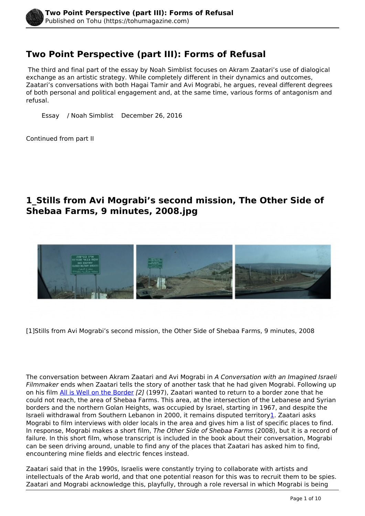# **Two Point Perspective (part III): Forms of Refusal**

 The third and final part of the essay by Noah Simblist focuses on Akram Zaatari's use of dialogical exchange as an artistic strategy. While completely different in their dynamics and outcomes, Zaatari's conversations with both Hagai Tamir and Avi Mograbi, he argues, reveal different degrees of both personal and political engagement and, at the same time, various forms of antagonism and refusal.

Essay / Noah Simblist December 26, 2016

Continued from part II

## **1\_Stills from Avi Mograbi's second mission, The Other Side of Shebaa Farms, 9 minutes, 2008.jpg**



[1]Stills from Avi Mograbi's second mission, the Other Side of Shebaa Farms, 9 minutes, 2008

The conversation between Akram Zaatari and Avi Mograbi in *A Conversation with an Imagined Israeli Filmmaker* ends when Zaatari tells the story of another task that he had given Mograbi. Following up on his film [All is Well on the Border](http://www.vdb.org/titles/all-well-border) *[2]* (1997), Zaatari wanted to return to a border zone that he could not reach, the area of Shebaa Farms. This area, at the intersection of the Lebanese and Syrian borders and the northern Golan Heights, was occupied by Israel, starting in 1967, and despite the Israeli withdrawal from Southern Lebanon in 2000, it remains disputed territory1. Zaatari asks Mograbi to film interviews with older locals in the area and gives him a list of specific places to find. In response, Mograbi makes a short film, *The Other Side of Shebaa Farms* (2008), but it is a record of failure. In this short film, whose transcript is included in the book about their conversation, Mograbi can be seen driving around, unable to find any of the places that Zaatari has asked him to find, encountering mine fields and electric fences instead.

Zaatari said that in the 1990s, Israelis were constantly trying to collaborate with artists and intellectuals of the Arab world, and that one potential reason for this was to recruit them to be spies. Zaatari and Mograbi acknowledge this, playfully, through a role reversal in which Mograbi is being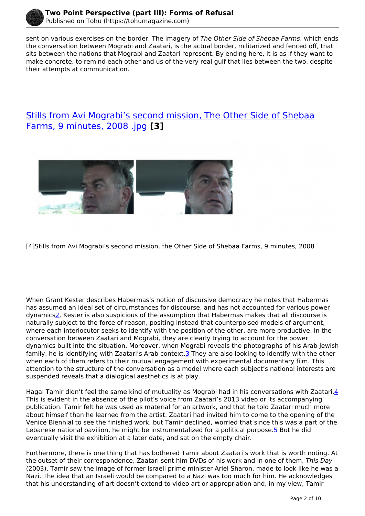

sent on various exercises on the border. The imagery of *The Other Side of Shebaa Farms*, which ends the conversation between Mograbi and Zaatari, is the actual border, militarized and fenced off, that sits between the nations that Mograbi and Zaatari represent. By ending here, it is as if they want to make concrete, to remind each other and us of the very real gulf that lies between the two, despite their attempts at communication.

## [Stills from Avi Mograbi's second mission, The Other Side of Shebaa](https://tohumagazine.com/file/stills-avi-mograbi%E2%80%99s-second-mission-other-side-shebaa-farms-9-minutes-2008-jpg) [Farms, 9 minutes, 2008 .jpg](https://tohumagazine.com/file/stills-avi-mograbi%E2%80%99s-second-mission-other-side-shebaa-farms-9-minutes-2008-jpg) **[3]**



[4]Stills from Avi Mograbi's second mission, the Other Side of Shebaa Farms, 9 minutes, 2008

When Grant Kester describes Habermas's notion of discursive democracy he notes that Habermas has assumed an ideal set of circumstances for discourse, and has not accounted for various power dynamics2. Kester is also suspicious of the assumption that Habermas makes that all discourse is naturally subject to the force of reason, positing instead that counterpoised models of argument, where each interlocutor seeks to identify with the position of the other, are more productive. In the conversation between Zaatari and Mograbi, they are clearly trying to account for the power dynamics built into the situation. Moreover, when Mograbi reveals the photographs of his Arab Jewish family, he is identifying with Zaatari's Arab context.3 They are also looking to identify with the other when each of them refers to their mutual engagement with experimental documentary film. This attention to the structure of the conversation as a model where each subject's national interests are suspended reveals that a dialogical aesthetics is at play.

Hagai Tamir didn't feel the same kind of mutuality as Mograbi had in his conversations with Zaatari.4 This is evident in the absence of the pilot's voice from Zaatari's 2013 video or its accompanying publication. Tamir felt he was used as material for an artwork, and that he told Zaatari much more about himself than he learned from the artist. Zaatari had invited him to come to the opening of the Venice Biennial to see the finished work, but Tamir declined, worried that since this was a part of the Lebanese national pavilion, he might be instrumentalized for a political purpose.<sup>5</sup> But he did eventually visit the exhibition at a later date, and sat on the empty chair.

Furthermore, there is one thing that has bothered Tamir about Zaatari's work that is worth noting. At the outset of their correspondence, Zaatari sent him DVDs of his work and in one of them, *This Day* (2003), Tamir saw the image of former Israeli prime minister Ariel Sharon, made to look like he was a Nazi. The idea that an Israeli would be compared to a Nazi was too much for him. He acknowledges that his understanding of art doesn't extend to video art or appropriation and, in my view, Tamir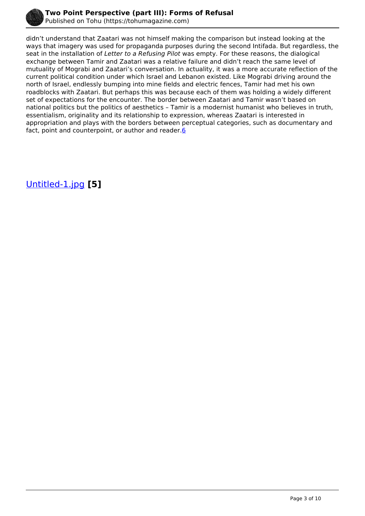

didn't understand that Zaatari was not himself making the comparison but instead looking at the ways that imagery was used for propaganda purposes during the second Intifada. But regardless, the seat in the installation of *Letter to a Refusing Pilot* was empty. For these reasons, the dialogical exchange between Tamir and Zaatari was a relative failure and didn't reach the same level of mutuality of Mograbi and Zaatari's conversation. In actuality, it was a more accurate reflection of the current political condition under which Israel and Lebanon existed. Like Mograbi driving around the north of Israel, endlessly bumping into mine fields and electric fences, Tamir had met his own roadblocks with Zaatari. But perhaps this was because each of them was holding a widely different set of expectations for the encounter. The border between Zaatari and Tamir wasn't based on national politics but the politics of aesthetics – Tamir is a modernist humanist who believes in truth, essentialism, originality and its relationship to expression, whereas Zaatari is interested in appropriation and plays with the borders between perceptual categories, such as documentary and fact, point and counterpoint, or author and reader. $6$ 

[Untitled-1.jpg](https://tohumagazine.com/file/untitled-1jpg-0) **[5]**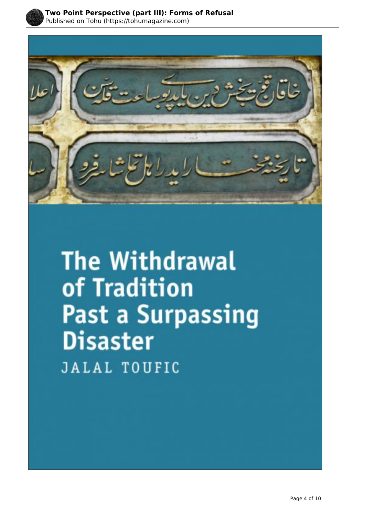



**The Withdrawal** of Tradition **Past a Surpassing Disaster JALAL TOUFIC**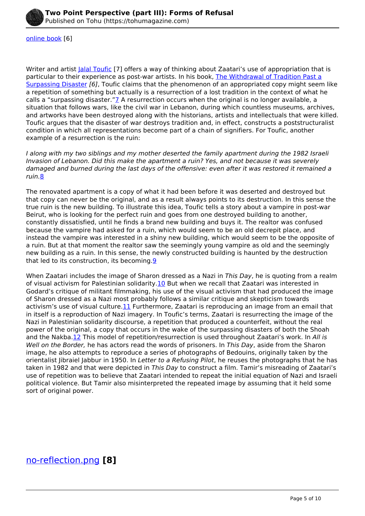

#### [online book](http://www.jalaltoufic.com/downloads/Jalal_Toufic,_The_Withdrawal_of_Tradition_Past_a_Surpassing_Disaster.pdf) [6]

Writer and artist *[Jalal Toufic](http://www.jalaltoufic.com/)* [7] offers a way of thinking about Zaatari's use of appropriation that is particular to their experience as post-war artists. In his book, [The Withdrawal of Tradition Past a](http://www.jalaltoufic.com/downloads/Jalal_Toufic,_The_Withdrawal_of_Tradition_Past_a_Surpassing_Disaster.pdf) [Surpassing Disaster](http://www.jalaltoufic.com/downloads/Jalal_Toufic,_The_Withdrawal_of_Tradition_Past_a_Surpassing_Disaster.pdf) *[6]*, Toufic claims that the phenomenon of an appropriated copy might seem like a repetition of something but actually is a resurrection of a lost tradition in the context of what he calls a "surpassing disaster." $Z$  A resurrection occurs when the original is no longer available, a situation that follows wars, like the civil war in Lebanon, during which countless museums, archives, and artworks have been destroyed along with the historians, artists and intellectuals that were killed. Toufic argues that the disaster of war destroys tradition and, in effect, constructs a poststructuralist condition in which all representations become part of a chain of signifiers. For Toufic, another example of a resurrection is the ruin:

*I along with my two siblings and my mother deserted the family apartment during the 1982 Israeli Invasion of Lebanon. Did this make the apartment a ruin? Yes, and not because it was severely damaged and burned during the last days of the offensive: even after it was restored it remained a ruin.*8

The renovated apartment is a copy of what it had been before it was deserted and destroyed but that copy can never be the original, and as a result always points to its destruction. In this sense the true ruin is the new building. To illustrate this idea, Toufic tells a story about a vampire in post-war Beirut, who is looking for the perfect ruin and goes from one destroyed building to another, constantly dissatisfied, until he finds a brand new building and buys it. The realtor was confused because the vampire had asked for a ruin, which would seem to be an old decrepit place, and instead the vampire was interested in a shiny new building, which would seem to be the opposite of a ruin. But at that moment the realtor saw the seemingly young vampire as old and the seemingly new building as a ruin. In this sense, the newly constructed building is haunted by the destruction that led to its construction, its becoming.9

When Zaatari includes the image of Sharon dressed as a Nazi in *This Day*, he is quoting from a realm of visual activism for Palestinian solidarity.10 But when we recall that Zaatari was interested in Godard's critique of militant filmmaking, his use of the visual activism that had produced the image of Sharon dressed as a Nazi most probably follows a similar critique and skepticism towards activism's use of visual culture.11 Furthermore, Zaatari is reproducing an image from an email that in itself is a reproduction of Nazi imagery. In Toufic's terms, Zaatari is resurrecting the image of the Nazi in Palestinian solidarity discourse, a repetition that produced a counterfeit, without the real power of the original, a copy that occurs in the wake of the surpassing disasters of both the Shoah and the Nakba.12 This model of repetition/resurrection is used throughout Zaatari's work. In *All is Well on the Border,* he has actors read the words of prisoners. In *This Day*, aside from the Sharon image, he also attempts to reproduce a series of photographs of Bedouins, originally taken by the orientalist Jibraiel Jabbur in 1950. In *Letter to a Refusing Pilot*, he reuses the photographs that he has taken in 1982 and that were depicted in *This Day* to construct a film. Tamir's misreading of Zaatari's use of repetition was to believe that Zaatari intended to repeat the initial equation of Nazi and Israeli political violence. But Tamir also misinterpreted the repeated image by assuming that it held some sort of original power.

### [no-reflection.png](https://tohumagazine.com/file/no-reflectionpng-0) **[8]**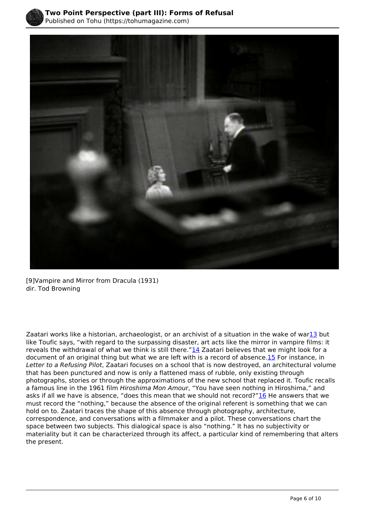



 [9]Vampire and Mirror from Dracula (1931) dir. Tod Browning

Zaatari works like a historian, archaeologist, or an archivist of a situation in the wake of war13 but like Toufic says, "with regard to the surpassing disaster, art acts like the mirror in vampire films: it reveals the withdrawal of what we think is still there." $14$  Zaatari believes that we might look for a document of an original thing but what we are left with is a record of absence.15 For instance, in *Letter to a Refusing Pilot*, Zaatari focuses on a school that is now destroyed, an architectural volume that has been punctured and now is only a flattened mass of rubble, only existing through photographs, stories or through the approximations of the new school that replaced it. Toufic recalls a famous line in the 1961 film *Hiroshima Mon Amour*, "You have seen nothing in Hiroshima," and asks if all we have is absence, "does this mean that we should not record?"<sup>16</sup> He answers that we must record the "nothing," because the absence of the original referent is something that we can hold on to. Zaatari traces the shape of this absence through photography, architecture, correspondence, and conversations with a filmmaker and a pilot. These conversations chart the space between two subjects. This dialogical space is also "nothing." It has no subjectivity or materiality but it can be characterized through its affect, a particular kind of remembering that alters the present.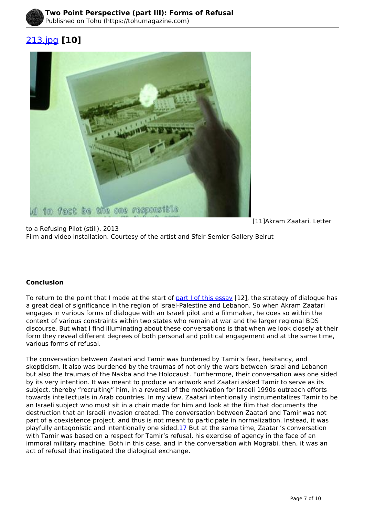

# [213.jpg](https://tohumagazine.com/file/213jpg-0) **[10]**



[11]Akram Zaatari. Letter

to a Refusing Pilot (still), 2013 Film and video installation. Courtesy of the artist and Sfeir-Semler Gallery Beirut

### **Conclusion**

To return to the point that I made at the start of [part I of this essay](http://tohumagazine.com/article/two-point-perspective-part-i-letter-refusing-pilot) [12], the strategy of dialogue has a great deal of significance in the region of Israel-Palestine and Lebanon. So when Akram Zaatari engages in various forms of dialogue with an Israeli pilot and a filmmaker, he does so within the context of various constraints within two states who remain at war and the larger regional BDS discourse. But what I find illuminating about these conversations is that when we look closely at their form they reveal different degrees of both personal and political engagement and at the same time, various forms of refusal.

The conversation between Zaatari and Tamir was burdened by Tamir's fear, hesitancy, and skepticism. It also was burdened by the traumas of not only the wars between Israel and Lebanon but also the traumas of the Nakba and the Holocaust. Furthermore, their conversation was one sided by its very intention. It was meant to produce an artwork and Zaatari asked Tamir to serve as its subject, thereby "recruiting" him, in a reversal of the motivation for Israeli 1990s outreach efforts towards intellectuals in Arab countries. In my view, Zaatari intentionally instrumentalizes Tamir to be an Israeli subject who must sit in a chair made for him and look at the film that documents the destruction that an Israeli invasion created. The conversation between Zaatari and Tamir was not part of a coexistence project, and thus is not meant to participate in normalization. Instead, it was playfully antagonistic and intentionally one sided.17 But at the same time, Zaatari's conversation with Tamir was based on a respect for Tamir's refusal, his exercise of agency in the face of an immoral military machine. Both in this case, and in the conversation with Mograbi, then, it was an act of refusal that instigated the dialogical exchange.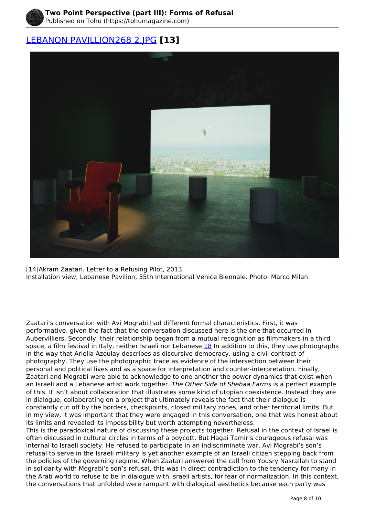

## [LEBANON PAVILLION268 2.JPG](https://tohumagazine.com/file/lebanon-pavillion268-2jpg-0) **[13]**



[14]Akram Zaatari. Letter to a Refusing Pilot, 2013 Installation view, Lebanese Pavilion, 55th International Venice Biennale. Photo: Marco Milan

.<br>Aubervilliers. Secondly, their relationship began from a mutual recognition as filmmakers in a third Zaatari's conversation with Avi Mograbi had different formal characteristics. First, it was performative, given the fact that the conversation discussed here is the one that occurred in space, a film festival in Italy, neither Israeli nor Lebanese. 18 In addition to this, they use photographs in the way that Ariella Azoulay describes as discursive democracy, using a civil contract of photography. They use the photographic trace as evidence of the intersection between their personal and political lives and as a space for interpretation and counter-interpretation. Finally, Zaatari and Mograbi were able to acknowledge to one another the power dynamics that exist when an Israeli and a Lebanese artist work together. *The Other Side of Shebaa Farms* is a perfect example of this. It isn't about collaboration that illustrates some kind of utopian coexistence. Instead they are in dialogue, collaborating on a project that ultimately reveals the fact that their dialogue is constantly cut off by the borders, checkpoints, closed military zones, and other territorial limits. But in my view, it was important that they were engaged in this conversation, one that was honest about its limits and revealed its impossibility but worth attempting nevertheless.

This is the paradoxical nature of discussing these projects together. Refusal in the context of Israel is often discussed in cultural circles in terms of a boycott. But Hagai Tamir's courageous refusal was internal to Israeli society. He refused to participate in an indiscriminate war. Avi Mograbi's son's refusal to serve in the Israeli military is yet another example of an Israeli citizen stepping back from the policies of the governing regime. When Zaatari answered the call from Yousry Nasrallah to stand in solidarity with Mograbi's son's refusal, this was in direct contradiction to the tendency for many in the Arab world to refuse to be in dialogue with Israeli artists, for fear of normalization. In this context, the conversations that unfolded were rampant with dialogical aesthetics because each party was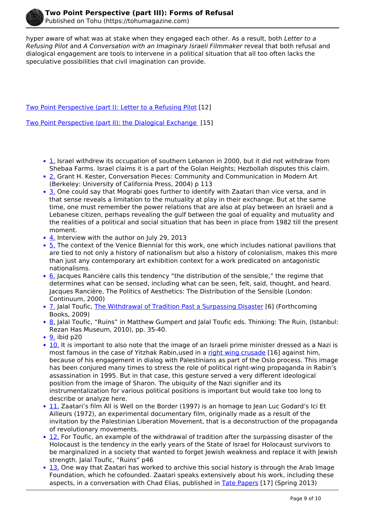

hyper aware of what was at stake when they engaged each other. As a result, both *Letter to a Refusing Pilot* and *A Conversation with an Imaginary Israeli Filmmaker* reveal that both refusal and dialogical engagement are tools to intervene in a political situation that all too often lacks the speculative possibilities that civil imagination can provide.

[Two Point Perspective \(part I\): Letter to a Refusing Pilot](http://tohumagazine.com/article/two-point-perspective-part-i-letter-refusing-pilot) [12]

[Two Point Perspective \(part II\): the Dialogical Exchange](http://tohumagazine.com/article/two-point-perspective-part-ii-dialogical-exchange) [15]

- 1. Israel withdrew its occupation of southern Lebanon in 2000, but it did not withdraw from Shebaa Farms. Israel claims it is a part of the Golan Heights; Hezbollah disputes this claim.
- 2. Grant H. Kester, Conversation Pieces: Community and Communication in Modern Art (Berkeley: University of California Press, 2004) p 113
- 3. One could say that Mograbi goes further to identify with Zaatari than vice versa, and in that sense reveals a limitation to the mutuality at play in their exchange. But at the same time, one must remember the power relations that are also at play between an Israeli and a Lebanese citizen, perhaps revealing the gulf between the goal of equality and mutuality and the realities of a political and social situation that has been in place from 1982 till the present moment.
- 4. Interview with the author on July 29, 2013
- 5. The context of the Venice Biennial for this work, one which includes national pavilions that are tied to not only a history of nationalism but also a history of colonialism, makes this more than just any contemporary art exhibition context for a work predicated on antagonistic nationalisms.
- 6. Jacques Rancière calls this tendency "the distribution of the sensible," the regime that determines what can be sensed, including what can be seen, felt, said, thought, and heard. Jacques Rancière, The Politics of Aesthetics: The Distribution of the Sensible (London: Continuum, 2000)
- 7. Jalal Toufic, [The Withdrawal of Tradition Past a Surpassing Disaster](http://www.jalaltoufic.com/downloads/Jalal_Toufic,_The_Withdrawal_of_Tradition_Past_a_Surpassing_Disaster.pdf) [6] (Forthcoming Books, 2009)
- 8. Jalal Toufic, "Ruins" in Matthew Gumpert and Jalal Toufic eds. Thinking: The Ruin, (Istanbul: Rezan Has Museum, 2010), pp. 35-40.
- $\cdot$  9. ibid p20
- 10. It is important to also note that the image of an Israeli prime minister dressed as a Nazi is most famous in the case of Yitzhak Rabin,used in a [right wing crusade](https://www.youtube.com/watch?v=9MTx8O_1hzU) [16] against him, because of his engagement in dialog with Palestinians as part of the Oslo process. This image has been conjured many times to stress the role of political right-wing propaganda in Rabin's assassination in 1995. But in that case, this gesture served a very different ideological position from the image of Sharon. The ubiquity of the Nazi signifier and its instrumentalization for various political positions is important but would take too long to describe or analyze here.
- 11. Zaatari's film All is Well on the Border (1997) is an homage to Jean Luc Godard's Ici Et Ailleurs (1972), an experimental documentary film, originally made as a result of the invitation by the Palestinian Liberation Movement, that is a deconstruction of the propaganda of revolutionary movements.
- 12. For Toufic, an example of the withdrawal of tradition after the surpassing disaster of the Holocaust is the tendency in the early years of the State of Israel for Holocaust survivors to be marginalized in a society that wanted to forget Jewish weakness and replace it with Jewish strength. Jalal Toufic, "Ruins" p46
- 13. One way that Zaatari has worked to archive this social history is through the Arab Image Foundation, which he cofounded. Zaatari speaks extensively about his work, including these aspects, in a conversation with Chad Elias, published in **Tate Papers** [17] (Spring 2013)